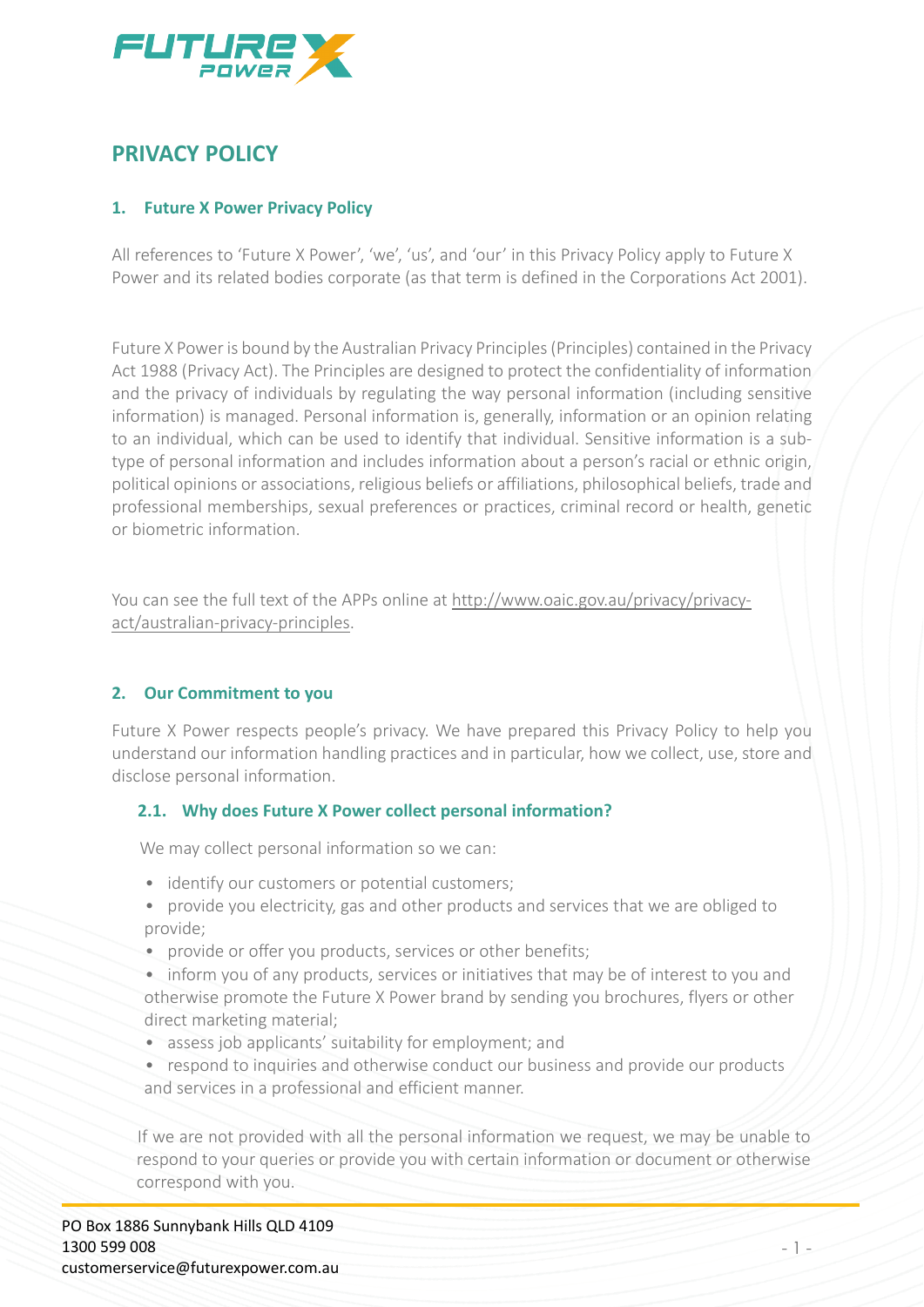

# **PRIVACY POLICY**

# **1. Future X Power Privacy Policy**

All references to 'Future X Power', 'we', 'us', and 'our' in this Privacy Policy apply to Future X Power and its related bodies corporate (as that term is defined in the Corporations Act 2001).

Future X Power is bound by the Australian Privacy Principles (Principles) contained in the Privacy Act 1988 (Privacy Act). The Principles are designed to protect the confidentiality of information and the privacy of individuals by regulating the way personal information (including sensitive information) is managed. Personal information is, generally, information or an opinion relating to an individual, which can be used to identify that individual. Sensitive information is a subtype of personal information and includes information about a person's racial or ethnic origin, political opinions or associations, religious beliefs or affiliations, philosophical beliefs, trade and professional memberships, sexual preferences or practices, criminal record or health, genetic or biometric information.

You can see the full text of the APPs online at [http://www.oaic.gov.au/privacy/privacy](http://www.oaic.gov.au/privacy/privacy-act/australian-privacy-principles)[act/australian-privacy-principles.](http://www.oaic.gov.au/privacy/privacy-act/australian-privacy-principles)

# **2. Our Commitment to you**

Future X Power respects people's privacy. We have prepared this Privacy Policy to help you understand our information handling practices and in particular, how we collect, use, store and disclose personal information.

### **2.1. Why does Future X Power collect personal information?**

We may collect personal information so we can:

- identify our customers or potential customers;
- provide you electricity, gas and other products and services that we are obliged to provide;
- provide or offer you products, services or other benefits;
- inform you of any products, services or initiatives that may be of interest to you and otherwise promote the Future X Power brand by sending you brochures, flyers or other direct marketing material;
- assess job applicants' suitability for employment; and
- respond to inquiries and otherwise conduct our business and provide our products and services in a professional and efficient manner.

If we are not provided with all the personal information we request, we may be unable to respond to your queries or provide you with certain information or document or otherwise correspond with you.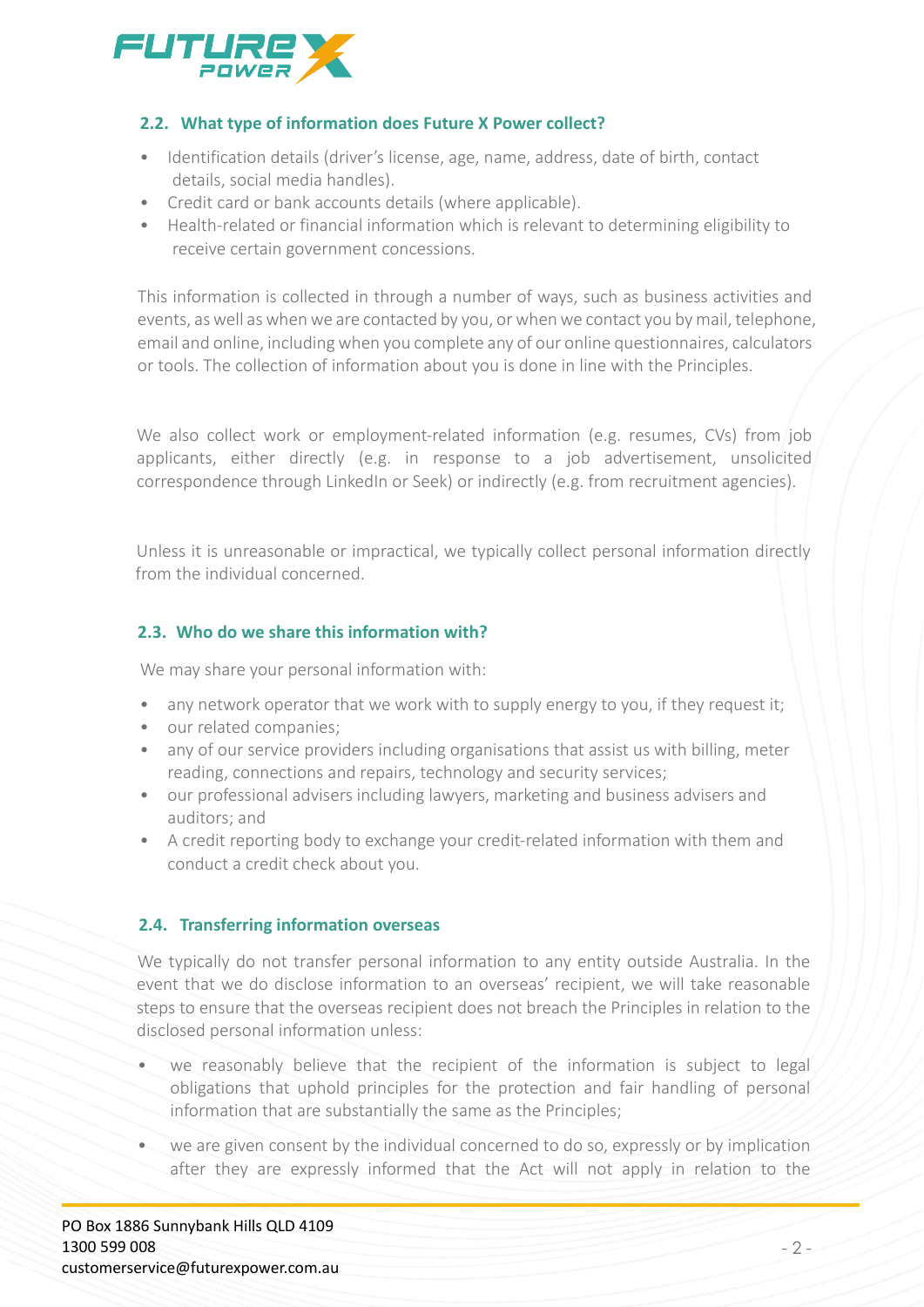

# **2.2. What type of information does Future X Power collect?**

- Identification details (driver's license, age, name, address, date of birth, contact details, social media handles).
- Credit card or bank accounts details (where applicable).
- Health-related or financial information which is relevant to determining eligibility to receive certain government concessions.

This information is collected in through a number of ways, such as business activities and events, as well as when we are contacted by you, or when we contact you by mail, telephone, email and online, including when you complete any of our online questionnaires, calculators or tools. The collection of information about you is done in line with the Principles.

We also collect work or employment-related information (e.g. resumes, CVs) from job applicants, either directly (e.g. in response to a job advertisement, unsolicited correspondence through LinkedIn or Seek) or indirectly (e.g. from recruitment agencies).

Unless it is unreasonable or impractical, we typically collect personal information directly from the individual concerned.

# **2.3. Who do we share this information with?**

We may share your personal information with:

- any network operator that we work with to supply energy to you, if they request it;
- our related companies;
- any of our service providers including organisations that assist us with billing, meter reading, connections and repairs, technology and security services;
- our professional advisers including lawyers, marketing and business advisers and auditors; and
- A credit reporting body to exchange your credit-related information with them and conduct a credit check about you.

# **2.4. Transferring information overseas**

We typically do not transfer personal information to any entity outside Australia. In the event that we do disclose information to an overseas' recipient, we will take reasonable steps to ensure that the overseas recipient does not breach the Principles in relation to the disclosed personal information unless:

- we reasonably believe that the recipient of the information is subject to legal obligations that uphold principles for the protection and fair handling of personal information that are substantially the same as the Principles;
- we are given consent by the individual concerned to do so, expressly or by implication after they are expressly informed that the Act will not apply in relation to the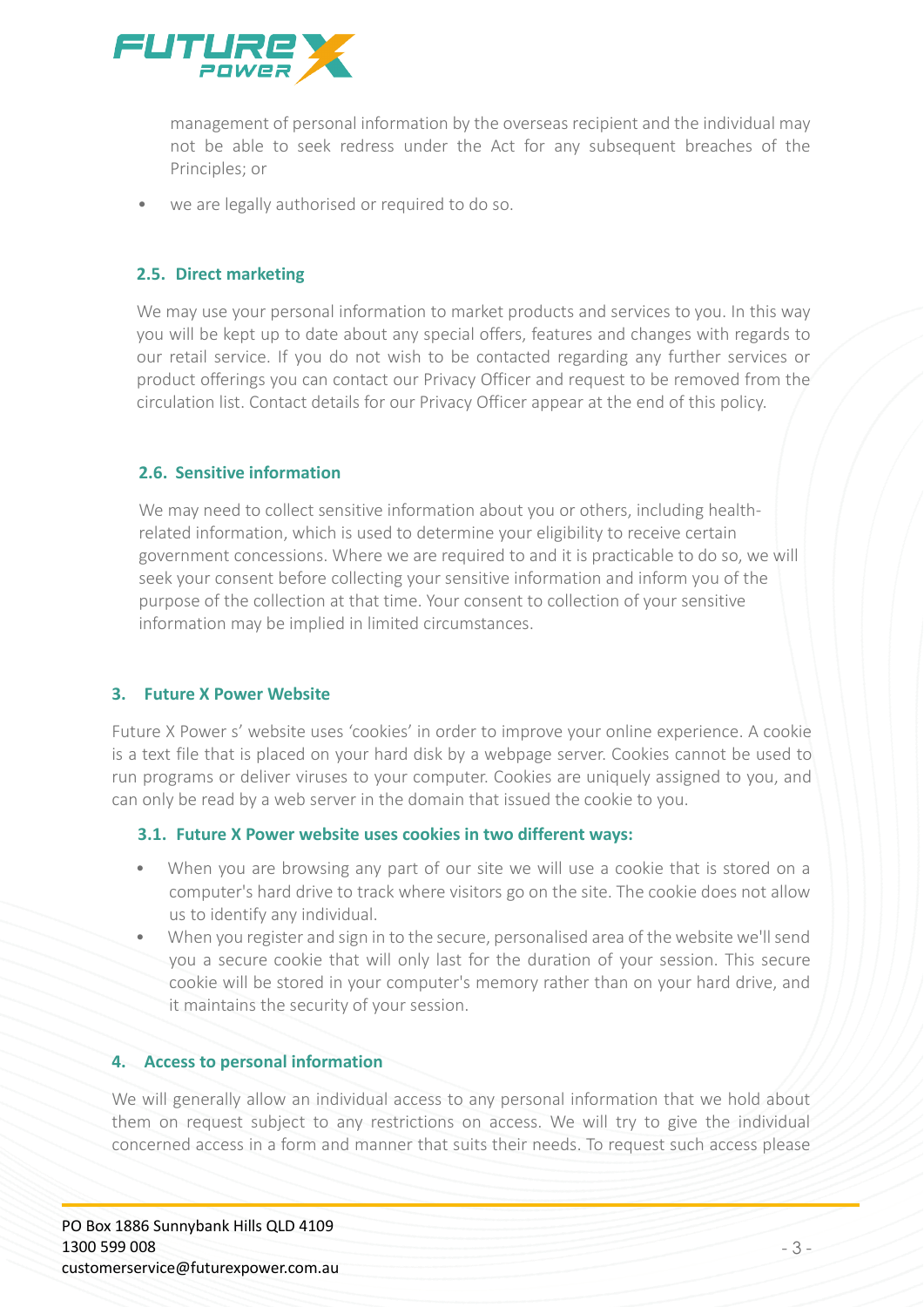

management of personal information by the overseas recipient and the individual may not be able to seek redress under the Act for any subsequent breaches of the Principles; or

• we are legally authorised or required to do so.

# **2.5. Direct marketing**

We may use your personal information to market products and services to you. In this way you will be kept up to date about any special offers, features and changes with regards to our retail service. If you do not wish to be contacted regarding any further services or product offerings you can contact our Privacy Officer and request to be removed from the circulation list. Contact details for our Privacy Officer appear at the end of this policy.

## **2.6. Sensitive information**

We may need to collect sensitive information about you or others, including healthrelated information, which is used to determine your eligibility to receive certain government concessions. Where we are required to and it is practicable to do so, we will seek your consent before collecting your sensitive information and inform you of the purpose of the collection at that time. Your consent to collection of your sensitive information may be implied in limited circumstances.

### **3. Future X Power Website**

Future X Power s' website uses 'cookies' in order to improve your online experience. A cookie is a text file that is placed on your hard disk by a webpage server. Cookies cannot be used to run programs or deliver viruses to your computer. Cookies are uniquely assigned to you, and can only be read by a web server in the domain that issued the cookie to you.

### **3.1. Future X Power website uses cookies in two different ways:**

- When you are browsing any part of our site we will use a cookie that is stored on a computer's hard drive to track where visitors go on the site. The cookie does not allow us to identify any individual.
- When you register and sign in to the secure, personalised area of the website we'll send you a secure cookie that will only last for the duration of your session. This secure cookie will be stored in your computer's memory rather than on your hard drive, and it maintains the security of your session.

### **4. Access to personal information**

We will generally allow an individual access to any personal information that we hold about them on request subject to any restrictions on access. We will try to give the individual concerned access in a form and manner that suits their needs. To request such access please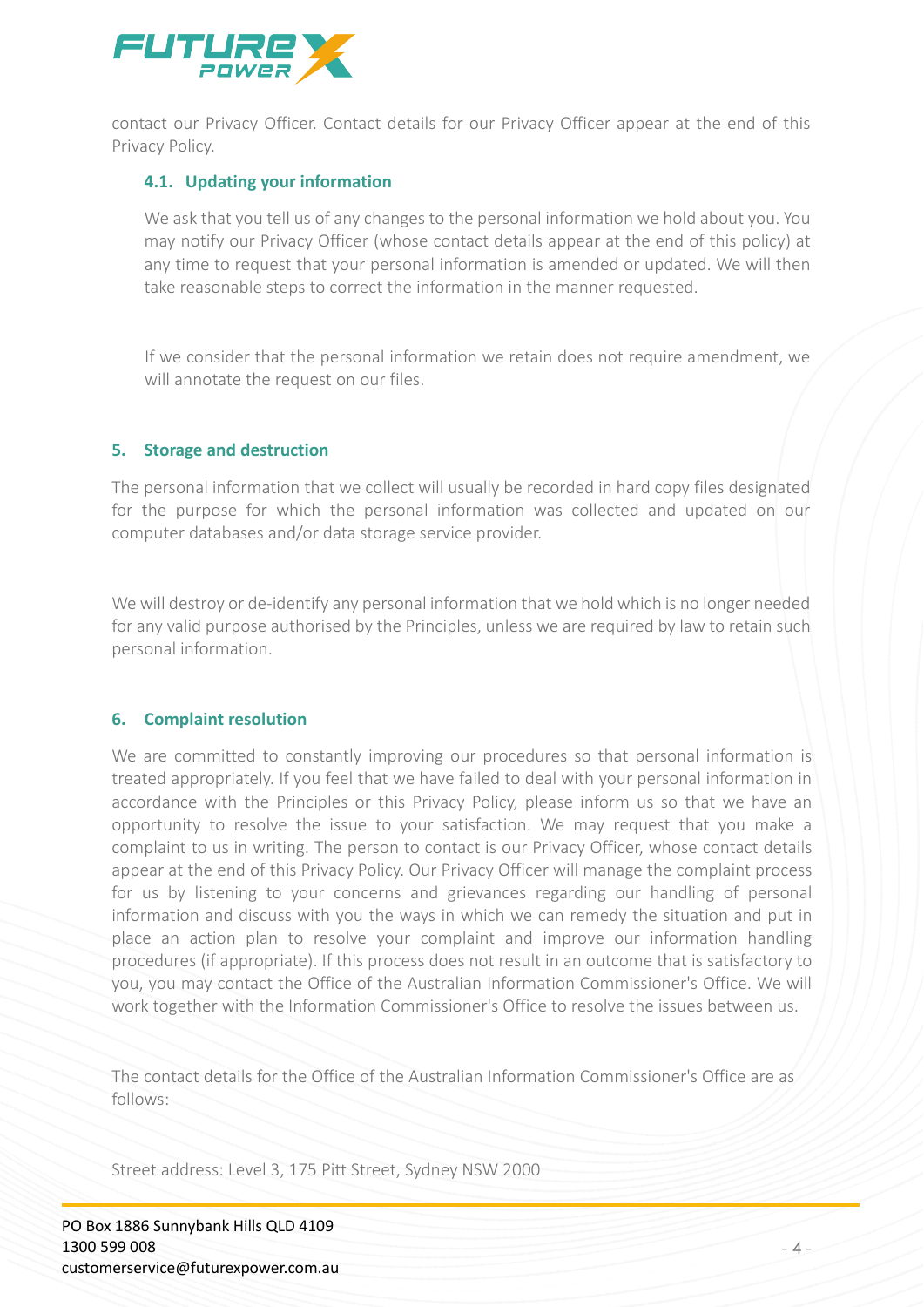

contact our Privacy Officer. Contact details for our Privacy Officer appear at the end of this Privacy Policy.

### **4.1. Updating your information**

We ask that you tell us of any changes to the personal information we hold about you. You may notify our Privacy Officer (whose contact details appear at the end of this policy) at any time to request that your personal information is amended or updated. We will then take reasonable steps to correct the information in the manner requested.

If we consider that the personal information we retain does not require amendment, we will annotate the request on our files.

#### **5. Storage and destruction**

The personal information that we collect will usually be recorded in hard copy files designated for the purpose for which the personal information was collected and updated on our computer databases and/or data storage service provider.

We will destroy or de-identify any personal information that we hold which is no longer needed for any valid purpose authorised by the Principles, unless we are required by law to retain such personal information.

#### **6. Complaint resolution**

We are committed to constantly improving our procedures so that personal information is treated appropriately. If you feel that we have failed to deal with your personal information in accordance with the Principles or this Privacy Policy, please inform us so that we have an opportunity to resolve the issue to your satisfaction. We may request that you make a complaint to us in writing. The person to contact is our Privacy Officer, whose contact details appear at the end of this Privacy Policy. Our Privacy Officer will manage the complaint process for us by listening to your concerns and grievances regarding our handling of personal information and discuss with you the ways in which we can remedy the situation and put in place an action plan to resolve your complaint and improve our information handling procedures (if appropriate). If this process does not result in an outcome that is satisfactory to you, you may contact the Office of the Australian Information Commissioner's Office. We will work together with the Information Commissioner's Office to resolve the issues between us.

The contact details for the Office of the Australian Information Commissioner's Office are as follows:

Street address: Level 3, 175 Pitt Street, Sydney NSW 2000